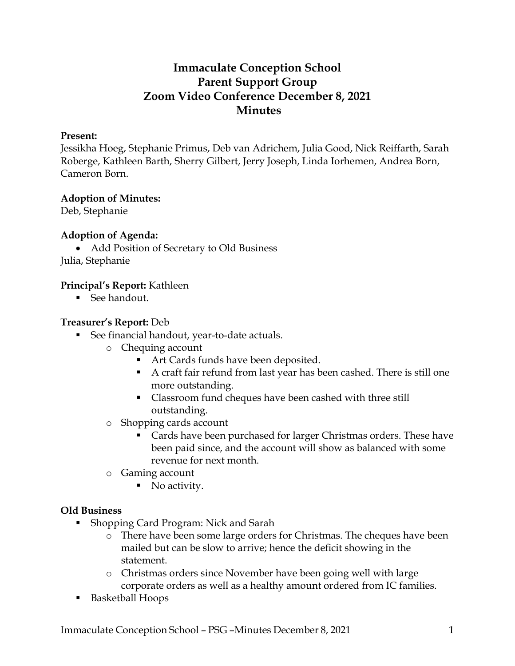# **Immaculate Conception School Parent Support Group Zoom Video Conference December 8, 2021 Minutes**

#### **Present:**

Jessikha Hoeg, Stephanie Primus, Deb van Adrichem, Julia Good, Nick Reiffarth, Sarah Roberge, Kathleen Barth, Sherry Gilbert, Jerry Joseph, Linda Iorhemen, Andrea Born, Cameron Born.

### **Adoption of Minutes:**

Deb, Stephanie

### **Adoption of Agenda:**

• Add Position of Secretary to Old Business

Julia, Stephanie

### **Principal's Report:** Kathleen

■ See handout.

#### **Treasurer's Report:** Deb

- See financial handout, year-to-date actuals.
	- o Chequing account
		- Art Cards funds have been deposited.
		- A craft fair refund from last year has been cashed. There is still one more outstanding.
		- Classroom fund cheques have been cashed with three still outstanding.
	- o Shopping cards account
		- **EXEC** Cards have been purchased for larger Christmas orders. These have been paid since, and the account will show as balanced with some revenue for next month.
	- o Gaming account
		- No activity.

### **Old Business**

- Shopping Card Program: Nick and Sarah
	- o There have been some large orders for Christmas. The cheques have been mailed but can be slow to arrive; hence the deficit showing in the statement.
	- o Christmas orders since November have been going well with large corporate orders as well as a healthy amount ordered from IC families.
- Basketball Hoops